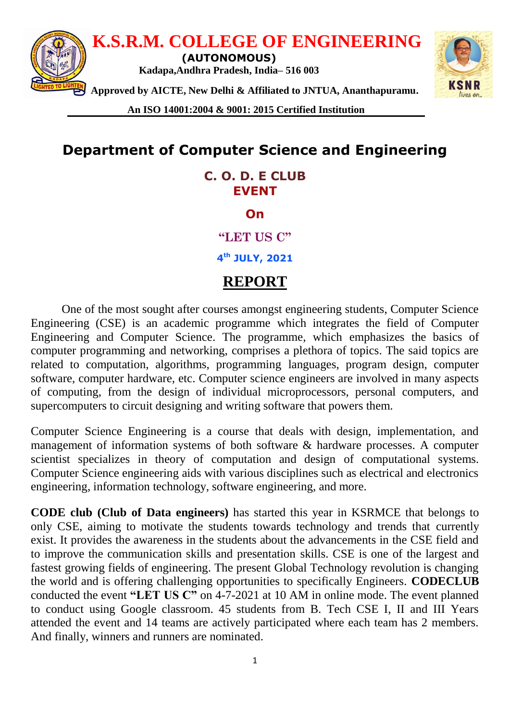

**An ISO 14001:2004 & 9001: 2015 Certified Institution**

# **Department of Computer Science and Engineering**

#### **C. O. D. E CLUB EVENT**

**On**

**"LET US C"**

**4 th JULY, 2021**

### **REPORT**

One of the most sought after courses amongst engineering students, Computer Science Engineering (CSE) is an academic programme which integrates the field of Computer Engineering and Computer Science. The programme, which emphasizes the basics of computer programming and networking, comprises a plethora of topics. The said topics are related to computation, algorithms, programming languages, program design, computer software, computer hardware, etc. Computer science engineers are involved in many aspects of computing, from the design of individual microprocessors, personal computers, and supercomputers to circuit designing and writing software that powers them.

Computer Science Engineering is a course that deals with design, implementation, and management of information systems of both software & hardware processes. A computer scientist specializes in theory of computation and design of computational systems. Computer Science engineering aids with various disciplines such as electrical and electronics engineering, information technology, software engineering, and more.

**CODE club (Club of Data engineers)** has started this year in KSRMCE that belongs to only CSE, aiming to motivate the students towards technology and trends that currently exist. It provides the awareness in the students about the advancements in the CSE field and to improve the communication skills and presentation skills. CSE is one of the largest and fastest growing fields of engineering. The present Global Technology revolution is changing the world and is offering challenging opportunities to specifically Engineers. **CODECLUB** conducted the event **"LET US C"** on 4-7-2021 at 10 AM in online mode. The event planned to conduct using Google classroom. 45 students from B. Tech CSE I, II and III Years attended the event and 14 teams are actively participated where each team has 2 members. And finally, winners and runners are nominated.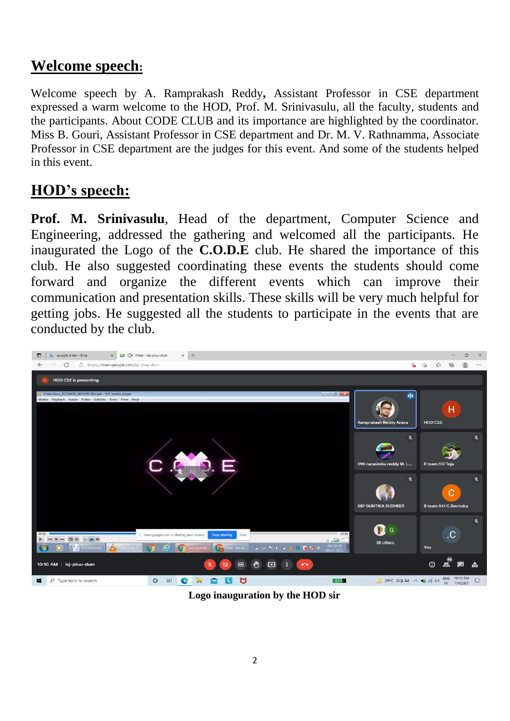# **Welcome speech:**

Welcome speech by A. Ramprakash Reddy**,** Assistant Professor in CSE department expressed a warm welcome to the HOD, Prof. M. Srinivasulu, all the faculty, students and the participants. About CODE CLUB and its importance are highlighted by the coordinator. Miss B. Gouri, Assistant Professor in CSE department and Dr. M. V. Rathnamma, Associate Professor in CSE department are the judges for this event. And some of the students helped in this event.

# **HOD's speech:**

**Prof. M. Srinivasulu**, Head of the department, Computer Science and Engineering, addressed the gathering and welcomed all the participants. He inaugurated the Logo of the **C.O.D.E** club. He shared the importance of this club. He also suggested coordinating these events the students should come forward and organize the different events which can improve their communication and presentation skills. These skills will be very much helpful for getting jobs. He suggested all the students to participate in the events that are conducted by the club.



**Logo inauguration by the HOD sir**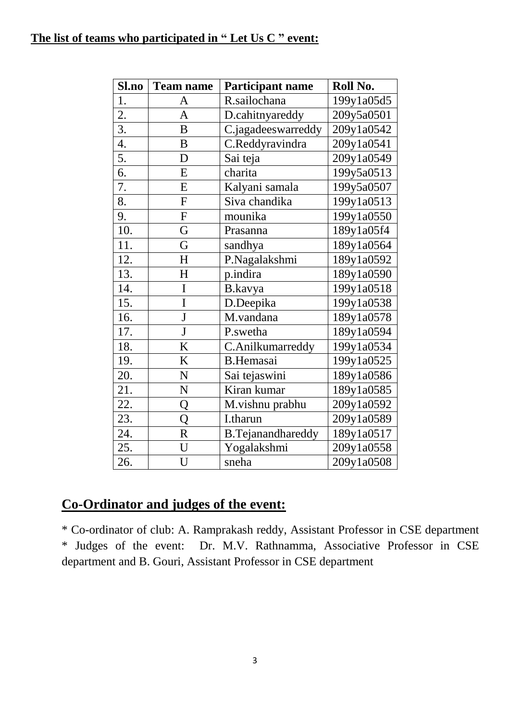#### **The list of teams who participated in " Let Us C " event:**

| Sl.no             | <b>Team name</b>        | <b>Participant name</b>  | Roll No.   |
|-------------------|-------------------------|--------------------------|------------|
| 1.                | A                       | R.sailochana             | 199y1a05d5 |
| 2.                | $\overline{A}$          | D.cahitnyareddy          | 209y5a0501 |
| 3.                | B                       | C.jagadeeswarreddy       | 209y1a0542 |
| 4.                | $\boldsymbol{B}$        | C.Reddyravindra          | 209y1a0541 |
| 5.                | D                       | Sai teja                 | 209y1a0549 |
| 6.                | E                       | charita                  | 199y5a0513 |
| 7.                | E                       | Kalyani samala           | 199y5a0507 |
| 8.                | ${\bf F}$               | Siva chandika            | 199y1a0513 |
| 9.                | ${\bf F}$               | mounika                  | 199y1a0550 |
| 10.               | G                       | Prasanna                 | 189y1a05f4 |
| 11.               | G                       | sandhya                  | 189y1a0564 |
| 12.               | H                       | P.Nagalakshmi            | 189y1a0592 |
| 13.               | H                       | p.indira                 | 189y1a0590 |
| 14.               | I                       | B.kavya                  | 199y1a0518 |
| 15.               | I                       | D.Deepika                | 199y1a0538 |
| 16.               | $\overline{\mathbf{J}}$ | M.vandana                | 189y1a0578 |
| 17.               | J                       | P.swetha                 | 189y1a0594 |
| 18.               | K                       | C.Anilkumarreddy         | 199y1a0534 |
| 19.               | K                       | <b>B.Hemasai</b>         | 199y1a0525 |
| 20.               | N                       | Sai tejaswini            | 189y1a0586 |
| 21.               | N                       | Kiran kumar              | 189y1a0585 |
| 22.               | Q                       | M.vishnu prabhu          | 209y1a0592 |
| $\overline{23}$ . | Q                       | I.tharun                 | 209y1a0589 |
| 24.               | $\overline{\text{R}}$   | <b>B.Tejanandhareddy</b> | 189y1a0517 |
| 25.               | U                       | Yogalakshmi              | 209y1a0558 |
| 26.               | U                       | sneha                    | 209y1a0508 |

## **Co-Ordinator and judges of the event:**

\* Co-ordinator of club: A. Ramprakash reddy, Assistant Professor in CSE department \* Judges of the event: Dr. M.V. Rathnamma, Associative Professor in CSE department and B. Gouri, Assistant Professor in CSE department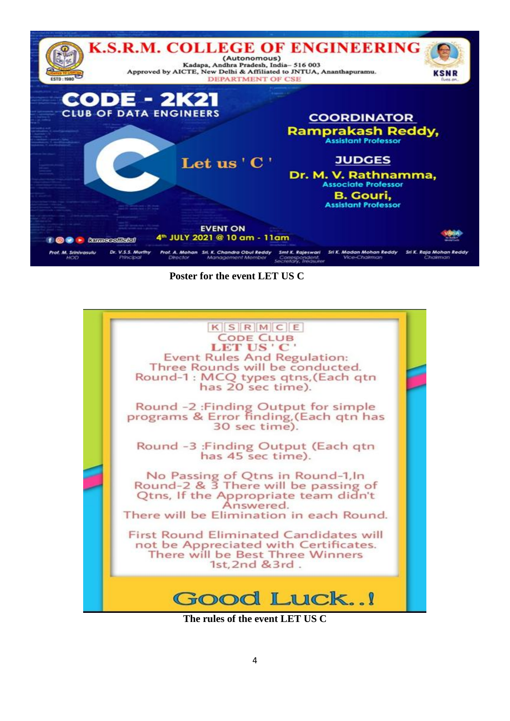

 **Poster for the event LET US C**



**The rules of the event LET US C**